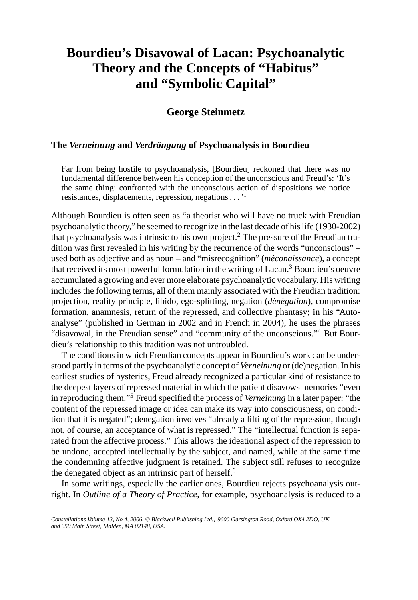# **Bourdieu's Disavowal of Lacan: Psychoanalytic Theory and the Concepts of "Habitus" and "Symbolic Capital"**

# **George Steinmetz**

## **The** *Verneinung* and *Verdrängung* of Psychoanalysis in Bourdieu

Far from being hostile to psychoanalysis, [Bourdieu] reckoned that there was no fundamental difference between his conception of the unconscious and Freud's: 'It's the same thing: confronted with the unconscious action of dispositions we notice resistances, displacements, repression, negations... ' 1

Although Bourdieu is often seen as "a theorist who will have no truck with Freudian psychoanalytic theory," he seemed to recognize in the last decade of his life (1930-2002) that psychoanalysis was intrinsic to his own project.<sup>2</sup> The pressure of the Freudian tradition was first revealed in his writing by the recurrence of the words "unconscious" – used both as adjective and as noun – and "misrecognition" (*meconaissance ´* ), a concept that received its most powerful formulation in the writing of Lacan.<sup>3</sup> Bourdieu's oeuvre accumulated a growing and ever more elaborate psychoanalytic vocabulary. His writing includes the following terms, all of them mainly associated with the Freudian tradition: projection, reality principle, libido, ego-splitting, negation (*dénégation*), compromise formation, anamnesis, return of the repressed, and collective phantasy; in his "Autoanalyse" (published in German in 2002 and in French in 2004), he uses the phrases "disavowal, in the Freudian sense" and "community of the unconscious."4 But Bourdieu's relationship to this tradition was not untroubled.

The conditions in which Freudian concepts appear in Bourdieu's work can be understood partly in terms of the psychoanalytic concept of *Verneinung* or (de)negation. In his earliest studies of hysterics, Freud already recognized a particular kind of resistance to the deepest layers of repressed material in which the patient disavows memories "even in reproducing them."<sup>5</sup> Freud specified the process of *Verneinung* in a later paper: "the content of the repressed image or idea can make its way into consciousness, on condition that it is negated"; denegation involves "already a lifting of the repression, though not, of course, an acceptance of what is repressed." The "intellectual function is separated from the affective process." This allows the ideational aspect of the repression to be undone, accepted intellectually by the subject, and named, while at the same time the condemning affective judgment is retained. The subject still refuses to recognize the denegated object as an intrinsic part of herself.<sup>6</sup>

In some writings, especially the earlier ones, Bourdieu rejects psychoanalysis outright. In *Outline of a Theory of Practice*, for example, psychoanalysis is reduced to a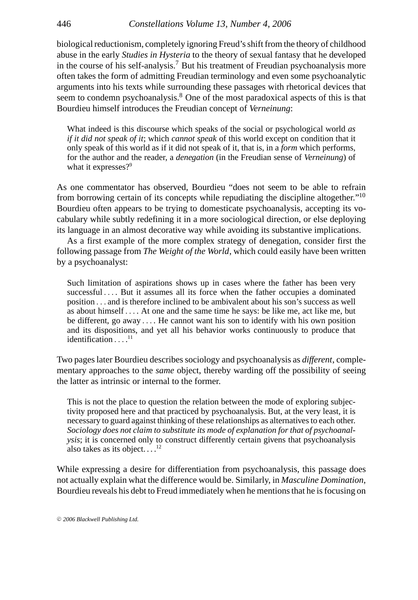## 446 *Constellations Volume 13, Number 4, 2006*

biological reductionism, completely ignoring Freud's shift from the theory of childhood abuse in the early *Studies in Hysteria* to the theory of sexual fantasy that he developed in the course of his self-analysis.7 But his treatment of Freudian psychoanalysis more often takes the form of admitting Freudian terminology and even some psychoanalytic arguments into his texts while surrounding these passages with rhetorical devices that seem to condemn psychoanalysis.<sup>8</sup> One of the most paradoxical aspects of this is that Bourdieu himself introduces the Freudian concept of *Verneinung*:

What indeed is this discourse which speaks of the social or psychological world *as if it did not speak of it*; which *cannot speak* of this world except on condition that it only speak of this world as if it did not speak of it, that is, in a *form* which performs, for the author and the reader, a *denegation* (in the Freudian sense of *Verneinung*) of what it expresses?<sup>9</sup>

As one commentator has observed, Bourdieu "does not seem to be able to refrain from borrowing certain of its concepts while repudiating the discipline altogether."10 Bourdieu often appears to be trying to domesticate psychoanalysis, accepting its vocabulary while subtly redefining it in a more sociological direction, or else deploying its language in an almost decorative way while avoiding its substantive implications.

As a first example of the more complex strategy of denegation, consider first the following passage from *The Weight of the World*, which could easily have been written by a psychoanalyst:

Such limitation of aspirations shows up in cases where the father has been very successful .... But it assumes all its force when the father occupies a dominated position ... and is therefore inclined to be ambivalent about his son's success as well as about himself ... . At one and the same time he says: be like me, act like me, but be different, go away ... . He cannot want his son to identify with his own position and its dispositions, and yet all his behavior works continuously to produce that identification ... . 11

Two pages later Bourdieu describes sociology and psychoanalysis as *different*, complementary approaches to the *same* object, thereby warding off the possibility of seeing the latter as intrinsic or internal to the former.

This is not the place to question the relation between the mode of exploring subjectivity proposed here and that practiced by psychoanalysis. But, at the very least, it is necessary to guard against thinking of these relationships as alternatives to each other. *Sociology does not claim to substitute its mode of explanation for that of psychoanalysis*; it is concerned only to construct differently certain givens that psychoanalysis also takes as its object.... $^{12}$ 

While expressing a desire for differentiation from psychoanalysis, this passage does not actually explain what the difference would be. Similarly, in *Masculine Domination*, Bourdieu reveals his debt to Freud immediately when he mentions that he is focusing on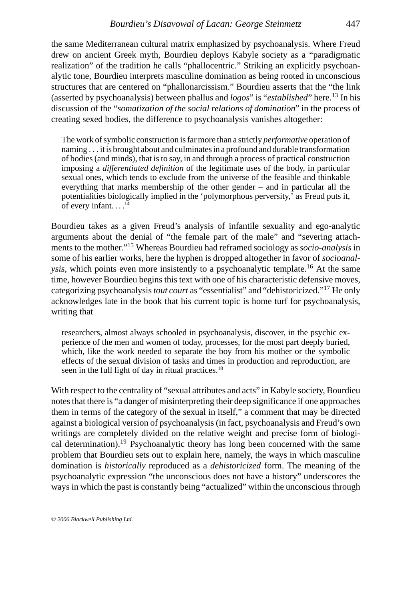the same Mediterranean cultural matrix emphasized by psychoanalysis. Where Freud drew on ancient Greek myth, Bourdieu deploys Kabyle society as a "paradigmatic realization" of the tradition he calls "phallocentric." Striking an explicitly psychoanalytic tone, Bourdieu interprets masculine domination as being rooted in unconscious structures that are centered on "phallonarcissism." Bourdieu asserts that the "the link (asserted by psychoanalysis) between phallus and *logos*" is "*established*" here.<sup>13</sup> In his discussion of the "*somatization of the social relations of domination*" in the process of creating sexed bodies, the difference to psychoanalysis vanishes altogether:

The work of symbolic construction is far more than a strictly *performative* operation of naming ... it is brought about and culminates in a profound and durable transformation of bodies (and minds), that is to say, in and through a process of practical construction imposing a *differentiated definition* of the legitimate uses of the body, in particular sexual ones, which tends to exclude from the universe of the feasible and thinkable everything that marks membership of the other gender – and in particular all the potentialities biologically implied in the 'polymorphous perversity,' as Freud puts it, of every infant.  $\ldots^{14}$ 

Bourdieu takes as a given Freud's analysis of infantile sexuality and ego-analytic arguments about the denial of "the female part of the male" and "severing attachments to the mother."<sup>15</sup> Whereas Bourdieu had reframed sociology as *socio-analysis* in some of his earlier works, here the hyphen is dropped altogether in favor of *socioanalysis*, which points even more insistently to a psychoanalytic template.<sup>16</sup> At the same time, however Bourdieu begins this text with one of his characteristic defensive moves, categorizing psychoanalysis*tout court* as "essentialist" and "dehistoricized."<sup>17</sup> He only acknowledges late in the book that his current topic is home turf for psychoanalysis, writing that

researchers, almost always schooled in psychoanalysis, discover, in the psychic experience of the men and women of today, processes, for the most part deeply buried, which, like the work needed to separate the boy from his mother or the symbolic effects of the sexual division of tasks and times in production and reproduction, are seen in the full light of day in ritual practices.<sup>18</sup>

With respect to the centrality of "sexual attributes and acts" in Kabyle society, Bourdieu notes that there is "a danger of misinterpreting their deep significance if one approaches them in terms of the category of the sexual in itself," a comment that may be directed against a biological version of psychoanalysis (in fact, psychoanalysis and Freud's own writings are completely divided on the relative weight and precise form of biological determination).<sup>19</sup> Psychoanalytic theory has long been concerned with the same problem that Bourdieu sets out to explain here, namely, the ways in which masculine domination is *historically* reproduced as a *dehistoricized* form. The meaning of the psychoanalytic expression "the unconscious does not have a history" underscores the ways in which the past is constantly being "actualized" within the unconscious through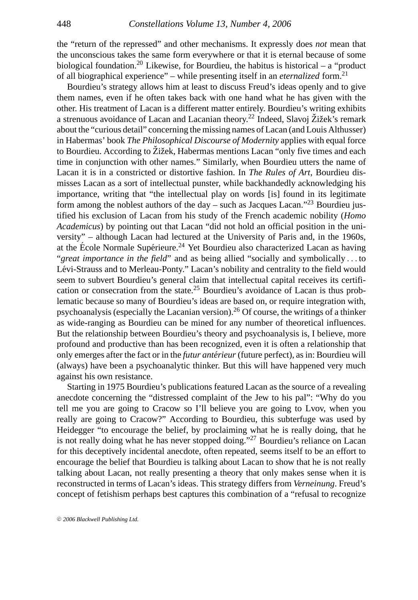the "return of the repressed" and other mechanisms. It expressly does *not* mean that the unconscious takes the same form everywhere or that it is eternal because of some biological foundation.<sup>20</sup> Likewise, for Bourdieu, the habitus is historical – a "product of all biographical experience" – while presenting itself in an *eternalized* form.<sup>21</sup>

Bourdieu's strategy allows him at least to discuss Freud's ideas openly and to give them names, even if he often takes back with one hand what he has given with the other. His treatment of Lacan is a different matter entirely. Bourdieu's writing exhibits a strenuous avoidance of Lacan and Lacanian theory.<sup>22</sup> Indeed, Slavoj Žižek's remark about the "curious detail" concerning the missing names of Lacan (and Louis Althusser) in Habermas' book *The Philosophical Discourse of Modernity* applies with equal force to Bourdieu. According to  $\check{Z}$ ižek, Habermas mentions Lacan "only five times and each time in conjunction with other names." Similarly, when Bourdieu utters the name of Lacan it is in a constricted or distortive fashion. In *The Rules of Art*, Bourdieu dismisses Lacan as a sort of intellectual punster, while backhandedly acknowledging his importance, writing that "the intellectual play on words [is] found in its legitimate form among the noblest authors of the day – such as Jacques Lacan."<sup>23</sup> Bourdieu justified his exclusion of Lacan from his study of the French academic nobility (*Homo Academicus*) by pointing out that Lacan "did not hold an official position in the university" – although Lacan had lectured at the University of Paris and, in the 1960s, at the École Normale Supérieure.<sup>24</sup> Yet Bourdieu also characterized Lacan as having "*great importance in the field*" and as being allied "socially and symbolically ... to Lévi-Strauss and to Merleau-Ponty." Lacan's nobility and centrality to the field would seem to subvert Bourdieu's general claim that intellectual capital receives its certification or consecration from the state.<sup>25</sup> Bourdieu's avoidance of Lacan is thus problematic because so many of Bourdieu's ideas are based on, or require integration with, psychoanalysis (especially the Lacanian version).<sup>26</sup> Of course, the writings of a thinker as wide-ranging as Bourdieu can be mined for any number of theoretical influences. But the relationship between Bourdieu's theory and psychoanalysis is, I believe, more profound and productive than has been recognized, even it is often a relationship that only emerges after the fact or in the *futur anterieur ´* (future perfect), as in: Bourdieu will (always) have been a psychoanalytic thinker. But this will have happened very much against his own resistance.

Starting in 1975 Bourdieu's publications featured Lacan as the source of a revealing anecdote concerning the "distressed complaint of the Jew to his pal": "Why do you tell me you are going to Cracow so I'll believe you are going to Lvov, when you really are going to Cracow?" According to Bourdieu, this subterfuge was used by Heidegger "to encourage the belief, by proclaiming what he is really doing, that he is not really doing what he has never stopped doing."<sup>27</sup> Bourdieu's reliance on Lacan for this deceptively incidental anecdote, often repeated, seems itself to be an effort to encourage the belief that Bourdieu is talking about Lacan to show that he is not really talking about Lacan, not really presenting a theory that only makes sense when it is reconstructed in terms of Lacan's ideas. This strategy differs from *Verneinung*. Freud's concept of fetishism perhaps best captures this combination of a "refusal to recognize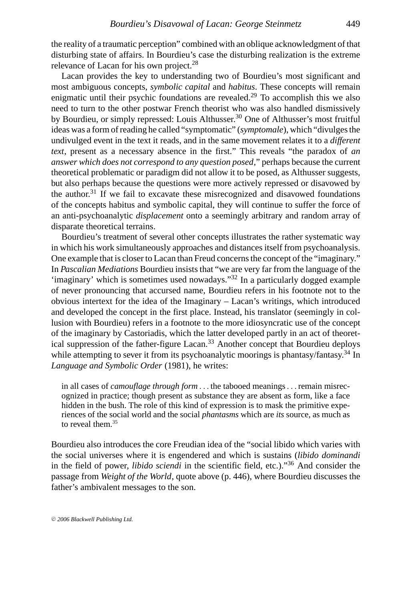the reality of a traumatic perception" combined with an oblique acknowledgment of that disturbing state of affairs. In Bourdieu's case the disturbing realization is the extreme relevance of Lacan for his own project.28

Lacan provides the key to understanding two of Bourdieu's most significant and most ambiguous concepts, *symbolic capital* and *habitus*. These concepts will remain enigmatic until their psychic foundations are revealed.<sup>29</sup> To accomplish this we also need to turn to the other postwar French theorist who was also handled dismissively by Bourdieu, or simply repressed: Louis Althusser.<sup>30</sup> One of Althusser's most fruitful ideas was a form of reading he called "symptomatic" (*symptomale*), which "divulges the undivulged event in the text it reads, and in the same movement relates it to a *different text*, present as a necessary absence in the first." This reveals "the paradox of *an answer which does not correspond to any question posed*," perhaps because the current theoretical problematic or paradigm did not allow it to be posed, as Althusser suggests, but also perhaps because the questions were more actively repressed or disavowed by the author.<sup>31</sup> If we fail to excavate these misrecognized and disavowed foundations of the concepts habitus and symbolic capital, they will continue to suffer the force of an anti-psychoanalytic *displacement* onto a seemingly arbitrary and random array of disparate theoretical terrains.

Bourdieu's treatment of several other concepts illustrates the rather systematic way in which his work simultaneously approaches and distances itself from psychoanalysis. One example that is closer to Lacan than Freud concerns the concept of the "imaginary." In *Pascalian Mediations* Bourdieu insists that "we are very far from the language of the 'imaginary' which is sometimes used nowadays."<sup>32</sup> In a particularly dogged example of never pronouncing that accursed name, Bourdieu refers in his footnote not to the obvious intertext for the idea of the Imaginary – Lacan's writings, which introduced and developed the concept in the first place. Instead, his translator (seemingly in collusion with Bourdieu) refers in a footnote to the more idiosyncratic use of the concept of the imaginary by Castoriadis, which the latter developed partly in an act of theoretical suppression of the father-figure Lacan.<sup>33</sup> Another concept that Bourdieu deploys while attempting to sever it from its psychoanalytic moorings is phantasy/fantasy.<sup>34</sup> In *Language and Symbolic Order* (1981), he writes:

in all cases of *camouflage through form* ... the tabooed meanings... remain misrecognized in practice; though present as substance they are absent as form, like a face hidden in the bush. The role of this kind of expression is to mask the primitive experiences of the social world and the social *phantasms* which are *its* source, as much as to reveal them.<sup>35</sup>

Bourdieu also introduces the core Freudian idea of the "social libido which varies with the social universes where it is engendered and which is sustains (*libido dominandi* in the field of power, *libido sciendi* in the scientific field, etc.)."<sup>36</sup> And consider the passage from *Weight of the World*, quote above (p. 446), where Bourdieu discusses the father's ambivalent messages to the son.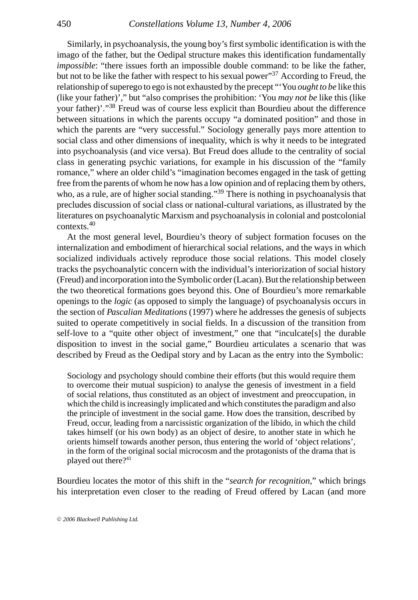Similarly, in psychoanalysis, the young boy's first symbolic identification is with the imago of the father, but the Oedipal structure makes this identification fundamentally *impossible*: "there issues forth an impossible double command: to be like the father, but not to be like the father with respect to his sexual power"<sup>37</sup> According to Freud, the relationship of superego to ego is not exhausted by the precept "'You *ought to be* like this (like your father)'," but "also comprises the prohibition: 'You *may not be* like this (like your father)'."<sup>38</sup> Freud was of course less explicit than Bourdieu about the difference between situations in which the parents occupy "a dominated position" and those in which the parents are "very successful." Sociology generally pays more attention to social class and other dimensions of inequality, which is why it needs to be integrated into psychoanalysis (and vice versa). But Freud does allude to the centrality of social class in generating psychic variations, for example in his discussion of the "family romance," where an older child's "imagination becomes engaged in the task of getting free from the parents of whom he now has a low opinion and of replacing them by others, who, as a rule, are of higher social standing."<sup>39</sup> There is nothing in psychoanalysis that precludes discussion of social class or national-cultural variations, as illustrated by the literatures on psychoanalytic Marxism and psychoanalysis in colonial and postcolonial contexts.<sup>40</sup>

At the most general level, Bourdieu's theory of subject formation focuses on the internalization and embodiment of hierarchical social relations, and the ways in which socialized individuals actively reproduce those social relations. This model closely tracks the psychoanalytic concern with the individual's interiorization of social history (Freud) and incorporation into the Symbolic order (Lacan). But the relationship between the two theoretical formations goes beyond this. One of Bourdieu's more remarkable openings to the *logic* (as opposed to simply the language) of psychoanalysis occurs in the section of *Pascalian Meditations* (1997) where he addresses the genesis of subjects suited to operate competitively in social fields. In a discussion of the transition from self-love to a "quite other object of investment," one that "inculcate[s] the durable disposition to invest in the social game," Bourdieu articulates a scenario that was described by Freud as the Oedipal story and by Lacan as the entry into the Symbolic:

Sociology and psychology should combine their efforts (but this would require them to overcome their mutual suspicion) to analyse the genesis of investment in a field of social relations, thus constituted as an object of investment and preoccupation, in which the child is increasingly implicated and which constitutes the paradigm and also the principle of investment in the social game. How does the transition, described by Freud, occur, leading from a narcissistic organization of the libido, in which the child takes himself (or his own body) as an object of desire, to another state in which he orients himself towards another person, thus entering the world of 'object relations', in the form of the original social microcosm and the protagonists of the drama that is played out there?<sup>41</sup>

Bourdieu locates the motor of this shift in the "*search for recognition*," which brings his interpretation even closer to the reading of Freud offered by Lacan (and more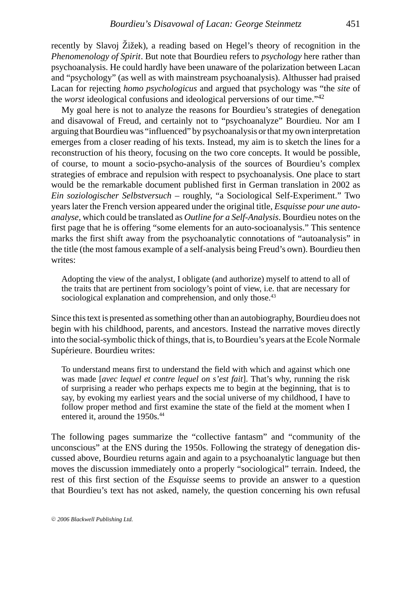recently by Slavoj Žižek), a reading based on Hegel's theory of recognition in the *Phenomenology of Spirit*. But note that Bourdieu refers to *psychology* here rather than psychoanalysis. He could hardly have been unaware of the polarization between Lacan and "psychology" (as well as with mainstream psychoanalysis). Althusser had praised Lacan for rejecting *homo psychologicus* and argued that psychology was "the *site* of the *worst* ideological confusions and ideological perversions of our time."42

My goal here is not to analyze the reasons for Bourdieu's strategies of denegation and disavowal of Freud, and certainly not to "psychoanalyze" Bourdieu. Nor am I arguing that Bourdieu was "influenced" by psychoanalysis or that my own interpretation emerges from a closer reading of his texts. Instead, my aim is to sketch the lines for a reconstruction of his theory, focusing on the two core concepts. It would be possible, of course, to mount a socio-psycho-analysis of the sources of Bourdieu's complex strategies of embrace and repulsion with respect to psychoanalysis. One place to start would be the remarkable document published first in German translation in 2002 as *Ein soziologischer Selbstversuch* – roughly, "a Sociological Self-Experiment." Two years later the French version appeared under the original title, *Esquisse pour une autoanalyse*, which could be translated as *Outline for a Self-Analysis*. Bourdieu notes on the first page that he is offering "some elements for an auto-socioanalysis." This sentence marks the first shift away from the psychoanalytic connotations of "autoanalysis" in the title (the most famous example of a self-analysis being Freud's own). Bourdieu then writes:

Adopting the view of the analyst, I obligate (and authorize) myself to attend to all of the traits that are pertinent from sociology's point of view, i.e. that are necessary for sociological explanation and comprehension, and only those.<sup>43</sup>

Since this text is presented as something other than an autobiography, Bourdieu does not begin with his childhood, parents, and ancestors. Instead the narrative moves directly into the social-symbolic thick of things, that is, to Bourdieu's years at the Ecole Normale Supérieure. Bourdieu writes:

To understand means first to understand the field with which and against which one was made [*avec lequel et contre lequel on s'est fait*]. That's why, running the risk of surprising a reader who perhaps expects me to begin at the beginning, that is to say, by evoking my earliest years and the social universe of my childhood, I have to follow proper method and first examine the state of the field at the moment when I entered it, around the 1950s.<sup>44</sup>

The following pages summarize the "collective fantasm" and "community of the unconscious" at the ENS during the 1950s. Following the strategy of denegation discussed above, Bourdieu returns again and again to a psychoanalytic language but then moves the discussion immediately onto a properly "sociological" terrain. Indeed, the rest of this first section of the *Esquisse* seems to provide an answer to a question that Bourdieu's text has not asked, namely, the question concerning his own refusal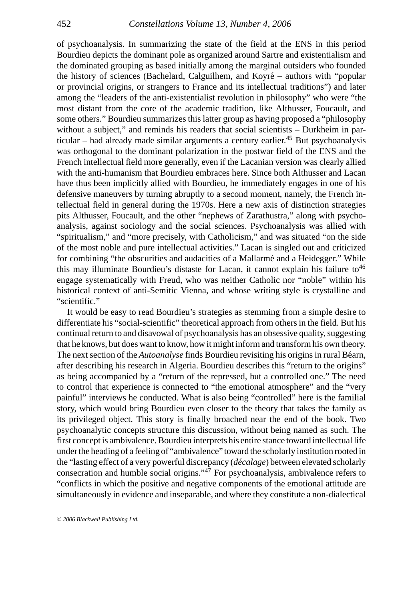of psychoanalysis. In summarizing the state of the field at the ENS in this period Bourdieu depicts the dominant pole as organized around Sartre and existentialism and the dominated grouping as based initially among the marginal outsiders who founded the history of sciences (Bachelard, Calguilhem, and Koyré – authors with "popular or provincial origins, or strangers to France and its intellectual traditions") and later among the "leaders of the anti-existentialist revolution in philosophy" who were "the most distant from the core of the academic tradition, like Althusser, Foucault, and some others." Bourdieu summarizes this latter group as having proposed a "philosophy without a subject," and reminds his readers that social scientists – Durkheim in particular – had already made similar arguments a century earlier.<sup>45</sup> But psychoanalysis was orthogonal to the dominant polarization in the postwar field of the ENS and the French intellectual field more generally, even if the Lacanian version was clearly allied with the anti-humanism that Bourdieu embraces here. Since both Althusser and Lacan have thus been implicitly allied with Bourdieu, he immediately engages in one of his defensive maneuvers by turning abruptly to a second moment, namely, the French intellectual field in general during the 1970s. Here a new axis of distinction strategies pits Althusser, Foucault, and the other "nephews of Zarathustra," along with psychoanalysis, against sociology and the social sciences. Psychoanalysis was allied with "spiritualism," and "more precisely, with Catholicism," and was situated "on the side of the most noble and pure intellectual activities." Lacan is singled out and criticized for combining "the obscurities and audacities of a Mallarmé and a Heidegger." While this may illuminate Bourdieu's distaste for Lacan, it cannot explain his failure to  $46$ engage systematically with Freud, who was neither Catholic nor "noble" within his historical context of anti-Semitic Vienna, and whose writing style is crystalline and "scientific."

It would be easy to read Bourdieu's strategies as stemming from a simple desire to differentiate his "social-scientific" theoretical approach from others in the field. But his continual return to and disavowal of psychoanalysis has an obsessive quality, suggesting that he knows, but does want to know, how it might inform and transform his own theory. The next section of the *Autoanalyse* finds Bourdieu revisiting his origins in rural Béarn, after describing his research in Algeria. Bourdieu describes this "return to the origins" as being accompanied by a "return of the repressed, but a controlled one." The need to control that experience is connected to "the emotional atmosphere" and the "very painful" interviews he conducted. What is also being "controlled" here is the familial story, which would bring Bourdieu even closer to the theory that takes the family as its privileged object. This story is finally broached near the end of the book. Two psychoanalytic concepts structure this discussion, without being named as such. The first concept is ambivalence. Bourdieu interprets his entire stance toward intellectual life under the heading of a feeling of "ambivalence" toward the scholarly institution rooted in the "lasting effect of a very powerful discrepancy (*décalage*) between elevated scholarly consecration and humble social origins."<sup>47</sup> For psychoanalysis, ambivalence refers to "conflicts in which the positive and negative components of the emotional attitude are simultaneously in evidence and inseparable, and where they constitute a non-dialectical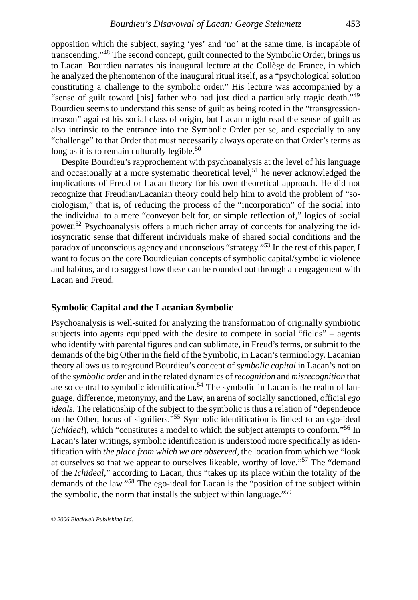opposition which the subject, saying 'yes' and 'no' at the same time, is incapable of transcending."48 The second concept, guilt connected to the Symbolic Order, brings us to Lacan. Bourdieu narrates his inaugural lecture at the Collège de France, in which he analyzed the phenomenon of the inaugural ritual itself, as a "psychological solution constituting a challenge to the symbolic order." His lecture was accompanied by a "sense of guilt toward [his] father who had just died a particularly tragic death."<sup>49</sup> Bourdieu seems to understand this sense of guilt as being rooted in the "transgressiontreason" against his social class of origin, but Lacan might read the sense of guilt as also intrinsic to the entrance into the Symbolic Order per se, and especially to any "challenge" to that Order that must necessarily always operate on that Order's terms as long as it is to remain culturally legible.<sup>50</sup>

Despite Bourdieu's rapprochement with psychoanalysis at the level of his language and occasionally at a more systematic theoretical level,<sup>51</sup> he never acknowledged the implications of Freud or Lacan theory for his own theoretical approach. He did not recognize that Freudian/Lacanian theory could help him to avoid the problem of "sociologism," that is, of reducing the process of the "incorporation" of the social into the individual to a mere "conveyor belt for, or simple reflection of," logics of social power.<sup>52</sup> Psychoanalysis offers a much richer array of concepts for analyzing the idiosyncratic sense that different individuals make of shared social conditions and the paradox of unconscious agency and unconscious "strategy."53 In the rest of this paper, I want to focus on the core Bourdieuian concepts of symbolic capital/symbolic violence and habitus, and to suggest how these can be rounded out through an engagement with Lacan and Freud.

#### **Symbolic Capital and the Lacanian Symbolic**

Psychoanalysis is well-suited for analyzing the transformation of originally symbiotic subjects into agents equipped with the desire to compete in social "fields" – agents who identify with parental figures and can sublimate, in Freud's terms, or submit to the demands of the big Other in the field of the Symbolic, in Lacan's terminology. Lacanian theory allows us to reground Bourdieu's concept of *symbolic capital* in Lacan's notion of the *symbolic order* and in the related dynamics of*recognition* and *misrecognition* that are so central to symbolic identification.<sup>54</sup> The symbolic in Lacan is the realm of language, difference, metonymy, and the Law, an arena of socially sanctioned, official *ego ideals*. The relationship of the subject to the symbolic is thus a relation of "dependence on the Other, locus of signifiers."<sup>55</sup> Symbolic identification is linked to an ego-ideal (*Ichideal*), which "constitutes a model to which the subject attempts to conform."56 In Lacan's later writings, symbolic identification is understood more specifically as identification with *the place from which we are observed*, the location from which we "look at ourselves so that we appear to ourselves likeable, worthy of love."57 The "demand of the *Ichideal*," according to Lacan, thus "takes up its place within the totality of the demands of the law."58 The ego-ideal for Lacan is the "position of the subject within the symbolic, the norm that installs the subject within language."<sup>59</sup>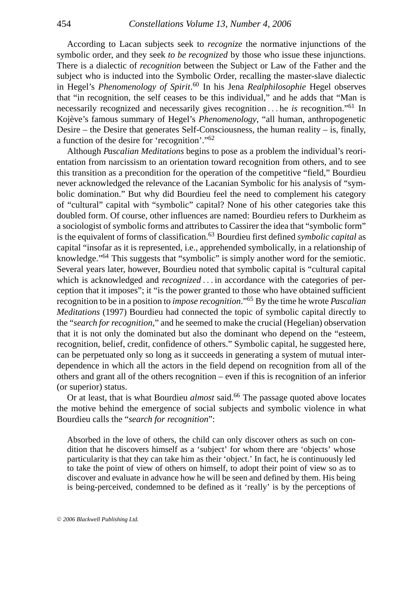According to Lacan subjects seek to *recognize* the normative injunctions of the symbolic order, and they seek *to be recognized* by those who issue these injunctions. There is a dialectic of *recognition* between the Subject or Law of the Father and the subject who is inducted into the Symbolic Order, recalling the master-slave dialectic in Hegel's *Phenomenology of Spirit*. <sup>60</sup> In his Jena *Realphilosophie* Hegel observes that "in recognition, the self ceases to be this individual," and he adds that "Man is necessarily recognized and necessarily gives recognition ... he *is* recognition."<sup>61</sup> In Kojève's famous summary of Hegel's *Phenomenology*, "all human, anthropogenetic Desire – the Desire that generates Self-Consciousness, the human reality – is, finally, a function of the desire for 'recognition'."62

Although *Pascalian Meditations* begins to pose as a problem the individual's reorientation from narcissism to an orientation toward recognition from others, and to see this transition as a precondition for the operation of the competitive "field," Bourdieu never acknowledged the relevance of the Lacanian Symbolic for his analysis of "symbolic domination." But why did Bourdieu feel the need to complement his category of "cultural" capital with "symbolic" capital? None of his other categories take this doubled form. Of course, other influences are named: Bourdieu refers to Durkheim as a sociologist of symbolic forms and attributes to Cassirer the idea that "symbolic form" is the equivalent of forms of classification.<sup>63</sup> Bourdieu first defined *symbolic capital* as capital "insofar as it is represented, i.e., apprehended symbolically, in a relationship of knowledge."<sup>64</sup> This suggests that "symbolic" is simply another word for the semiotic. Several years later, however, Bourdieu noted that symbolic capital is "cultural capital which is acknowledged and *recognized* ... in accordance with the categories of perception that it imposes"; it "is the power granted to those who have obtained sufficient recognition to be in a position to *impose recognition*."<sup>65</sup> By the time he wrote *Pascalian Meditations* (1997) Bourdieu had connected the topic of symbolic capital directly to the "*search for recognition*," and he seemed to make the crucial (Hegelian) observation that it is not only the dominated but also the dominant who depend on the "esteem, recognition, belief, credit, confidence of others." Symbolic capital, he suggested here, can be perpetuated only so long as it succeeds in generating a system of mutual interdependence in which all the actors in the field depend on recognition from all of the others and grant all of the others recognition – even if this is recognition of an inferior (or superior) status.

Or at least, that is what Bourdieu *almost* said.<sup>66</sup> The passage quoted above locates the motive behind the emergence of social subjects and symbolic violence in what Bourdieu calls the "*search for recognition*":

Absorbed in the love of others, the child can only discover others as such on condition that he discovers himself as a 'subject' for whom there are 'objects' whose particularity is that they can take him as their 'object.' In fact, he is continuously led to take the point of view of others on himself, to adopt their point of view so as to discover and evaluate in advance how he will be seen and defined by them. His being is being-perceived, condemned to be defined as it 'really' is by the perceptions of

*<sup>C</sup> 2006 Blackwell Publishing Ltd.*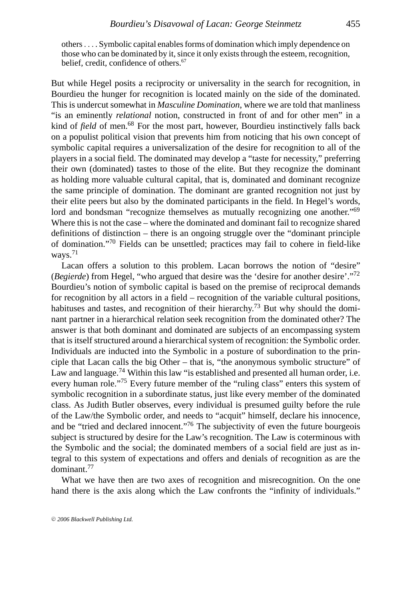others... . Symbolic capital enables forms of domination which imply dependence on those who can be dominated by it, since it only exists through the esteem, recognition, belief, credit, confidence of others.<sup>67</sup>

But while Hegel posits a reciprocity or universality in the search for recognition, in Bourdieu the hunger for recognition is located mainly on the side of the dominated. This is undercut somewhat in *Masculine Domination*, where we are told that manliness "is an eminently *relational* notion, constructed in front of and for other men" in a kind of *field* of men.<sup>68</sup> For the most part, however, Bourdieu instinctively falls back on a populist political vision that prevents him from noticing that his own concept of symbolic capital requires a universalization of the desire for recognition to all of the players in a social field. The dominated may develop a "taste for necessity," preferring their own (dominated) tastes to those of the elite. But they recognize the dominant as holding more valuable cultural capital, that is, dominated and dominant recognize the same principle of domination. The dominant are granted recognition not just by their elite peers but also by the dominated participants in the field. In Hegel's words, lord and bondsman "recognize themselves as mutually recognizing one another."<sup>69</sup> Where this is not the case – where the dominated and dominant fail to recognize shared definitions of distinction – there is an ongoing struggle over the "dominant principle of domination."<sup>70</sup> Fields can be unsettled; practices may fail to cohere in field-like ways.<sup>71</sup>

Lacan offers a solution to this problem. Lacan borrows the notion of "desire" (*Begierde*) from Hegel, "who argued that desire was the 'desire for another desire'."72 Bourdieu's notion of symbolic capital is based on the premise of reciprocal demands for recognition by all actors in a field – recognition of the variable cultural positions, habituses and tastes, and recognition of their hierarchy.<sup>73</sup> But why should the dominant partner in a hierarchical relation seek recognition from the dominated other? The answer is that both dominant and dominated are subjects of an encompassing system that is itself structured around a hierarchical system of recognition: the Symbolic order. Individuals are inducted into the Symbolic in a posture of subordination to the principle that Lacan calls the big Other – that is, "the anonymous symbolic structure" of Law and language.<sup>74</sup> Within this law "is established and presented all human order, i.e. every human role."<sup>75</sup> Every future member of the "ruling class" enters this system of symbolic recognition in a subordinate status, just like every member of the dominated class. As Judith Butler observes, every individual is presumed guilty before the rule of the Law/the Symbolic order, and needs to "acquit" himself, declare his innocence, and be "tried and declared innocent."76 The subjectivity of even the future bourgeois subject is structured by desire for the Law's recognition. The Law is coterminous with the Symbolic and the social; the dominated members of a social field are just as integral to this system of expectations and offers and denials of recognition as are the dominant.<sup>77</sup>

What we have then are two axes of recognition and misrecognition. On the one hand there is the axis along which the Law confronts the "infinity of individuals."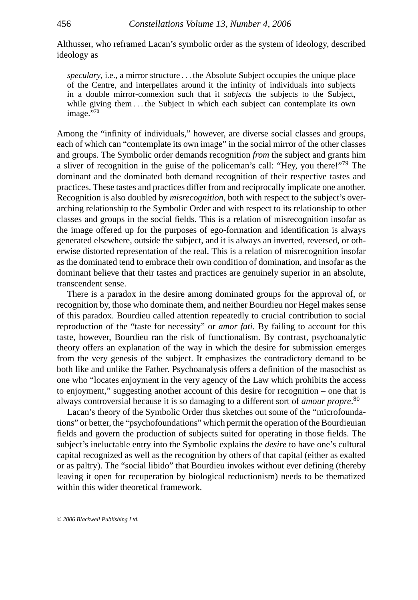Althusser, who reframed Lacan's symbolic order as the system of ideology, described ideology as

*speculary*, i.e., a mirror structure ... the Absolute Subject occupies the unique place of the Centre, and interpellates around it the infinity of individuals into subjects in a double mirror-connexion such that it *subjects* the subjects to the Subject, while giving them ... the Subject in which each subject can contemplate its own image."78

Among the "infinity of individuals," however, are diverse social classes and groups, each of which can "contemplate its own image" in the social mirror of the other classes and groups. The Symbolic order demands recognition *from* the subject and grants him a sliver of recognition in the guise of the policeman's call: "Hey, you there!"<sup>79</sup> The dominant and the dominated both demand recognition of their respective tastes and practices. These tastes and practices differ from and reciprocally implicate one another. Recognition is also doubled by *misrecognition*, both with respect to the subject's overarching relationship to the Symbolic Order and with respect to its relationship to other classes and groups in the social fields. This is a relation of misrecognition insofar as the image offered up for the purposes of ego-formation and identification is always generated elsewhere, outside the subject, and it is always an inverted, reversed, or otherwise distorted representation of the real. This is a relation of misrecognition insofar as the dominated tend to embrace their own condition of domination, and insofar as the dominant believe that their tastes and practices are genuinely superior in an absolute, transcendent sense.

There is a paradox in the desire among dominated groups for the approval of, or recognition by, those who dominate them, and neither Bourdieu nor Hegel makes sense of this paradox. Bourdieu called attention repeatedly to crucial contribution to social reproduction of the "taste for necessity" or *amor fati*. By failing to account for this taste, however, Bourdieu ran the risk of functionalism. By contrast, psychoanalytic theory offers an explanation of the way in which the desire for submission emerges from the very genesis of the subject. It emphasizes the contradictory demand to be both like and unlike the Father. Psychoanalysis offers a definition of the masochist as one who "locates enjoyment in the very agency of the Law which prohibits the access to enjoyment," suggesting another account of this desire for recognition – one that is always controversial because it is so damaging to a different sort of *amour propre*. 80

Lacan's theory of the Symbolic Order thus sketches out some of the "microfoundations" or better, the "psychofoundations" which permit the operation of the Bourdieuian fields and govern the production of subjects suited for operating in those fields. The subject's ineluctable entry into the Symbolic explains the *desire* to have one's cultural capital recognized as well as the recognition by others of that capital (either as exalted or as paltry). The "social libido" that Bourdieu invokes without ever defining (thereby leaving it open for recuperation by biological reductionism) needs to be thematized within this wider theoretical framework.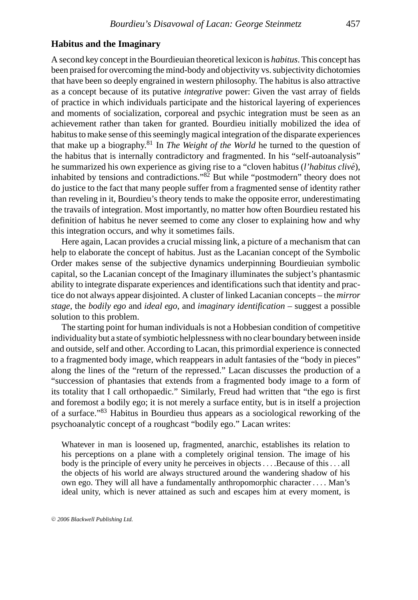### **Habitus and the Imaginary**

A second key concept in the Bourdieuian theoretical lexicon is *habitus*. This concept has been praised for overcoming the mind-body and objectivity vs. subjectivity dichotomies that have been so deeply engrained in western philosophy. The habitus is also attractive as a concept because of its putative *integrative* power: Given the vast array of fields of practice in which individuals participate and the historical layering of experiences and moments of socialization, corporeal and psychic integration must be seen as an achievement rather than taken for granted. Bourdieu initially mobilized the idea of habitus to make sense of this seemingly magical integration of the disparate experiences that make up a biography.<sup>81</sup> In *The Weight of the World* he turned to the question of the habitus that is internally contradictory and fragmented. In his "self-autoanalysis" he summarized his own experience as giving rise to a "cloven habitus (*l'habitus clive´*), inhabited by tensions and contradictions." $82$  But while "postmodern" theory does not do justice to the fact that many people suffer from a fragmented sense of identity rather than reveling in it, Bourdieu's theory tends to make the opposite error, underestimating the travails of integration. Most importantly, no matter how often Bourdieu restated his definition of habitus he never seemed to come any closer to explaining how and why this integration occurs, and why it sometimes fails.

Here again, Lacan provides a crucial missing link, a picture of a mechanism that can help to elaborate the concept of habitus. Just as the Lacanian concept of the Symbolic Order makes sense of the subjective dynamics underpinning Bourdieuian symbolic capital, so the Lacanian concept of the Imaginary illuminates the subject's phantasmic ability to integrate disparate experiences and identifications such that identity and practice do not always appear disjointed. A cluster of linked Lacanian concepts – the *mirror stage*, the *bodily ego* and *ideal ego*, and *imaginary identification* – suggest a possible solution to this problem.

The starting point for human individuals is not a Hobbesian condition of competitive individuality but a state of symbiotic helplessness with no clear boundary between inside and outside, self and other. According to Lacan, this primordial experience is connected to a fragmented body image, which reappears in adult fantasies of the "body in pieces" along the lines of the "return of the repressed." Lacan discusses the production of a "succession of phantasies that extends from a fragmented body image to a form of its totality that I call orthopaedic." Similarly, Freud had written that "the ego is first and foremost a bodily ego; it is not merely a surface entity, but is in itself a projection of a surface."83 Habitus in Bourdieu thus appears as a sociological reworking of the psychoanalytic concept of a roughcast "bodily ego." Lacan writes:

Whatever in man is loosened up, fragmented, anarchic, establishes its relation to his perceptions on a plane with a completely original tension. The image of his body is the principle of every unity he perceives in objects... .Because of this... all the objects of his world are always structured around the wandering shadow of his own ego. They will all have a fundamentally anthropomorphic character ... . Man's ideal unity, which is never attained as such and escapes him at every moment, is

*<sup>C</sup> 2006 Blackwell Publishing Ltd.*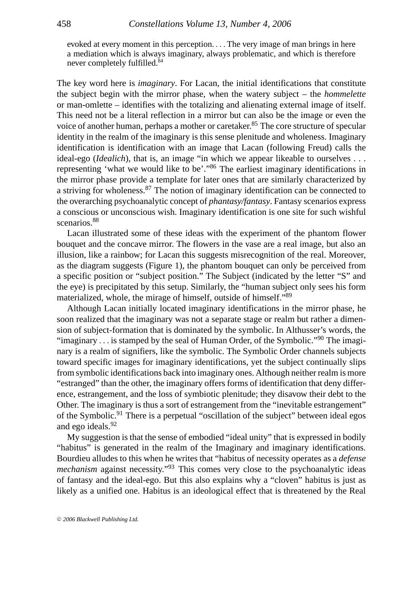evoked at every moment in this perception. ... The very image of man brings in here a mediation which is always imaginary, always problematic, and which is therefore never completely fulfilled.<sup>84</sup>

The key word here is *imaginary*. For Lacan, the initial identifications that constitute the subject begin with the mirror phase, when the watery subject – the *hommelette* or man-omlette – identifies with the totalizing and alienating external image of itself. This need not be a literal reflection in a mirror but can also be the image or even the voice of another human, perhaps a mother or caretaker.<sup>85</sup> The core structure of specular identity in the realm of the imaginary is this sense plenitude and wholeness. Imaginary identification is identification with an image that Lacan (following Freud) calls the ideal-ego (*Idealich*), that is, an image "in which we appear likeable to ourselves . . . representing 'what we would like to be'."<sup>86</sup> The earliest imaginary identifications in the mirror phase provide a template for later ones that are similarly characterized by a striving for wholeness.<sup>87</sup> The notion of imaginary identification can be connected to the overarching psychoanalytic concept of *phantasy/fantasy*. Fantasy scenarios express a conscious or unconscious wish. Imaginary identification is one site for such wishful scenarios.<sup>88</sup>

Lacan illustrated some of these ideas with the experiment of the phantom flower bouquet and the concave mirror. The flowers in the vase are a real image, but also an illusion, like a rainbow; for Lacan this suggests misrecognition of the real. Moreover, as the diagram suggests (Figure 1), the phantom bouquet can only be perceived from a specific position or "subject position." The Subject (indicated by the letter "S" and the eye) is precipitated by this setup. Similarly, the "human subject only sees his form materialized, whole, the mirage of himself, outside of himself."<sup>89</sup>

Although Lacan initially located imaginary identifications in the mirror phase, he soon realized that the imaginary was not a separate stage or realm but rather a dimension of subject-formation that is dominated by the symbolic. In Althusser's words, the "imaginary  $\dots$  is stamped by the seal of Human Order, of the Symbolic."<sup>90</sup> The imaginary is a realm of signifiers, like the symbolic. The Symbolic Order channels subjects toward specific images for imaginary identifications, yet the subject continually slips from symbolic identifications back into imaginary ones. Although neither realm is more "estranged" than the other, the imaginary offers forms of identification that deny difference, estrangement, and the loss of symbiotic plenitude; they disavow their debt to the Other. The imaginary is thus a sort of estrangement from the "inevitable estrangement" of the Symbolic.<sup>91</sup> There is a perpetual "oscillation of the subject" between ideal egos and ego ideals.<sup>92</sup>

My suggestion is that the sense of embodied "ideal unity" that is expressed in bodily "habitus" is generated in the realm of the Imaginary and imaginary identifications. Bourdieu alludes to this when he writes that "habitus of necessity operates as a *defense mechanism* against necessity."<sup>93</sup> This comes very close to the psychoanalytic ideas of fantasy and the ideal-ego. But this also explains why a "cloven" habitus is just as likely as a unified one. Habitus is an ideological effect that is threatened by the Real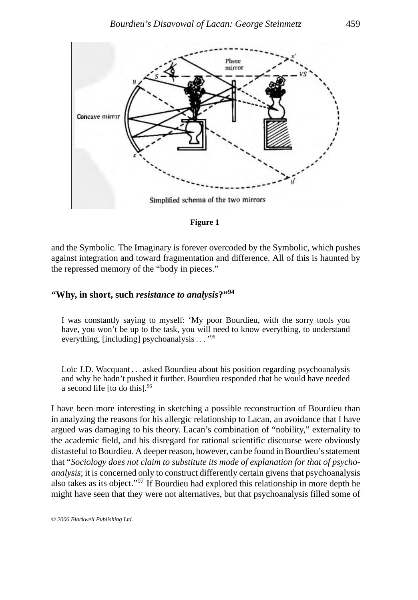

#### **Figure 1**

and the Symbolic. The Imaginary is forever overcoded by the Symbolic, which pushes against integration and toward fragmentation and difference. All of this is haunted by the repressed memory of the "body in pieces."

#### **"Why, in short, such** *resistance to analysis***?"<sup>94</sup>**

I was constantly saying to myself: 'My poor Bourdieu, with the sorry tools you have, you won't be up to the task, you will need to know everything, to understand everything, [including] psychoanalysis...'<sup>95</sup>

Loïc J.D. Wacquant ... asked Bourdieu about his position regarding psychoanalysis and why he hadn't pushed it further. Bourdieu responded that he would have needed a second life [to do this].96

I have been more interesting in sketching a possible reconstruction of Bourdieu than in analyzing the reasons for his allergic relationship to Lacan, an avoidance that I have argued was damaging to his theory. Lacan's combination of "nobility," externality to the academic field, and his disregard for rational scientific discourse were obviously distasteful to Bourdieu. A deeper reason, however, can be found in Bourdieu's statement that "*Sociology does not claim to substitute its mode of explanation for that of psychoanalysis*; it is concerned only to construct differently certain givens that psychoanalysis also takes as its object."97 If Bourdieu had explored this relationship in more depth he might have seen that they were not alternatives, but that psychoanalysis filled some of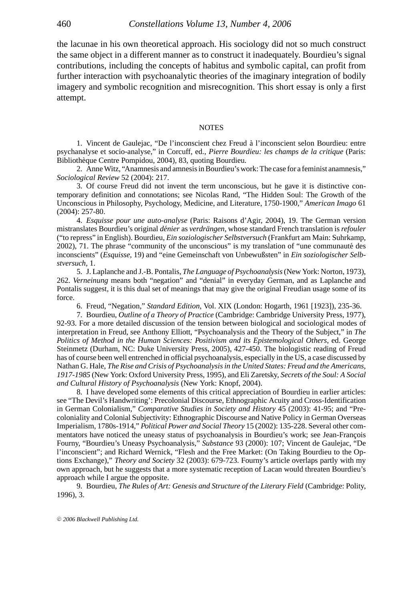the lacunae in his own theoretical approach. His sociology did not so much construct the same object in a different manner as to construct it inadequately. Bourdieu's signal contributions, including the concepts of habitus and symbolic capital, can profit from further interaction with psychoanalytic theories of the imaginary integration of bodily imagery and symbolic recognition and misrecognition. This short essay is only a first attempt.

#### **NOTES**

1. Vincent de Gaulejac, "De l'inconscient chez Freud à l'inconscient selon Bourdieu: entre psychanalyse et socio-analyse," in Corcuff, ed., *Pierre Bourdieu: les champs de la critique* (Paris: Bibliothèque Centre Pompidou, 2004), 83, quoting Bourdieu.

2. Anne Witz, "Anamnesis and amnesis in Bourdieu's work: The case for a feminist anamnesis," *Sociological Review* 52 (2004): 217.

3. Of course Freud did not invent the term unconscious, but he gave it is distinctive contemporary definition and connotations; see Nicolas Rand, "The Hidden Soul: The Growth of the Unconscious in Philosophy, Psychology, Medicine, and Literature, 1750-1900," *American Imago* 61 (2004): 257-80.

4. *Esquisse pour une auto-analyse* (Paris: Raisons d'Agir, 2004), 19. The German version mistranslates Bourdieu's original *denier ´* as *verdrangen ¨* , whose standard French translation is *refouler* ("to repress" in English). Bourdieu, *Ein soziologischer Selbstversuch* (Frankfurt am Main: Suhrkamp,  $2002$ ), 71. The phrase "community of the unconscious" is my translation of "une communauté des inconscients" (*Esquisse*, 19) and "eine Gemeinschaft von Unbewußsten" in *Ein soziologischer Selbstversuch*, 1.

5. J. Laplanche and J.-B. Pontalis, *The Language of Psychoanalysis*(New York: Norton, 1973), 262. *Verneinung* means both "negation" and "denial" in everyday German, and as Laplanche and Pontalis suggest, it is this dual set of meanings that may give the original Freudian usage some of its force.

6. Freud, "Negation," *Standard Edition*, Vol. XIX (London: Hogarth, 1961 [1923]), 235-36.

7. Bourdieu, *Outline of a Theory of Practice* (Cambridge: Cambridge University Press, 1977), 92-93. For a more detailed discussion of the tension between biological and sociological modes of interpretation in Freud, see Anthony Elliott, "Psychoanalysis and the Theory of the Subject," in *The Politics of Method in the Human Sciences: Positivism and its Epistemological Others*, ed. George Steinmetz (Durham, NC: Duke University Press, 2005), 427-450. The biologistic reading of Freud has of course been well entrenched in official psychoanalysis, especially in the US, a case discussed by Nathan G. Hale, *The Rise and Crisis of Psychoanalysis in the United States: Freud and the Americans, 1917-1985* (New York: Oxford University Press, 1995), and Eli Zaretsky, *Secrets of the Soul: A Social and Cultural History of Psychoanalysis* (New York: Knopf, 2004).

8. I have developed some elements of this critical appreciation of Bourdieu in earlier articles: see "The Devil's Handwriting': Precolonial Discourse, Ethnographic Acuity and Cross-Identification in German Colonialism," *Comparative Studies in Society and History* 45 (2003): 41-95; and "Precoloniality and Colonial Subjectivity: Ethnographic Discourse and Native Policy in German Overseas Imperialism, 1780s-1914," *Political Power and Social Theory* 15 (2002): 135-228. Several other commentators have noticed the uneasy status of psychoanalysis in Bourdieu's work; see Jean-François Fourny, "Bourdieu's Uneasy Psychoanalysis," *Substance* 93 (2000): 107; Vincent de Gaulejac, "De l'inconscient"; and Richard Wernick, "Flesh and the Free Market: (On Taking Bourdieu to the Options Exchange)," *Theory and Society* 32 (2003): 679-723. Fourny's article overlaps partly with my own approach, but he suggests that a more systematic reception of Lacan would threaten Bourdieu's approach while I argue the opposite.

9. Bourdieu, *The Rules of Art: Genesis and Structure of the Literary Field* (Cambridge: Polity, 1996), 3.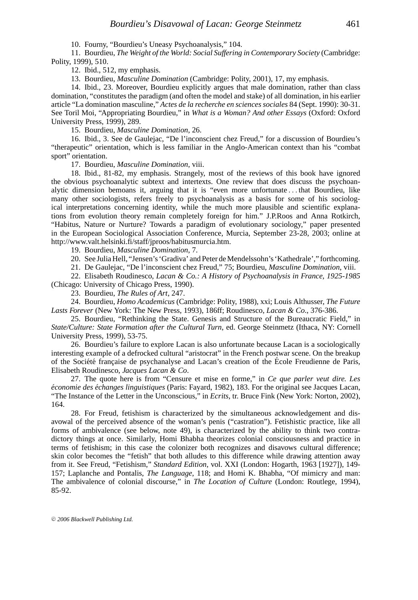10. Fourny, "Bourdieu's Uneasy Psychoanalysis," 104.

11. Bourdieu, *The Weight of the World: Social Suffering in Contemporary Society* (Cambridge: Polity, 1999), 510.

12. Ibid., 512, my emphasis.

13. Bourdieu, *Masculine Domination* (Cambridge: Polity, 2001), 17, my emphasis.

14. Ibid., 23. Moreover, Bourdieu explicitly argues that male domination, rather than class domination, "constitutes the paradigm (and often the model and stake) of all domination, in his earlier article "La domination masculine," *Actes de la recherche en sciences sociales* 84 (Sept. 1990): 30-31. See Toril Moi, "Appropriating Bourdieu," in *What is a Woman? And other Essays* (Oxford: Oxford University Press, 1999), 289.

15. Bourdieu, *Masculine Domination*, 26.

16. Ibid., 3. See de Gaulejac, "De l'inconscient chez Freud," for a discussion of Bourdieu's "therapeutic" orientation, which is less familiar in the Anglo-American context than his "combat sport" orientation.

17. Bourdieu, *Masculine Domination*, viii.

18. Ibid., 81-82, my emphasis. Strangely, most of the reviews of this book have ignored the obvious psychoanalytic subtext and intertexts. One review that does discuss the psychoanalytic dimension bemoans it, arguing that it is "even more unfortunate ... that Bourdieu, like many other sociologists, refers freely to psychoanalysis as a basis for some of his sociological interpretations concerning identity, while the much more plausible and scientific explanations from evolution theory remain completely foreign for him." J.P.Roos and Anna Rotkirch, "Habitus, Nature or Nurture? Towards a paradigm of evolutionary sociology," paper presented in the European Sociological Association Conference, Murcia, September 23-28, 2003; online at http://www.valt.helsinki.fi/staff/jproos/habitusmurcia.htm.

19. Bourdieu, *Masculine Domination*, 7.

20. See Julia Hell, "Jensen's 'Gradiva' and Peter de Mendelssohn's 'Kathedrale'," forthcoming.

21. De Gaulejac, "De l'inconscient chez Freud," 75; Bourdieu, *Masculine Domination*, viii.

22. Elisabeth Roudinesco, *Lacan & Co.: A History of Psychoanalysis in France, 1925-1985* (Chicago: University of Chicago Press, 1990).

23. Bourdieu, *The Rules of Art*, 247.

24. Bourdieu, *Homo Academicus* (Cambridge: Polity, 1988), xxi; Louis Althusser, *The Future Lasts Forever* (New York: The New Press, 1993), 186ff; Roudinesco, *Lacan & Co*., 376-386.

25. Bourdieu, "Rethinking the State. Genesis and Structure of the Bureaucratic Field," in *State/Culture: State Formation after the Cultural Turn*, ed. George Steinmetz (Ithaca, NY: Cornell University Press, 1999), 53-75.

26. Bourdieu's failure to explore Lacan is also unfortunate because Lacan is a sociologically interesting example of a defrocked cultural "aristocrat" in the French postwar scene. On the breakup of the Société française de psychanalyse and Lacan's creation of the École Freudienne de Paris, Elisabeth Roudinesco, *Jacques Lacan & Co*.

27. The quote here is from "Censure et mise en forme," in *Ce que parler veut dire. Les economie des ´ echanges linguistiques ´* (Paris: Fayard, 1982), 183. For the original see Jacques Lacan, "The Instance of the Letter in the Unconscious," in *Ecrits*, tr. Bruce Fink (New York: Norton, 2002), 164.

28. For Freud, fetishism is characterized by the simultaneous acknowledgement and disavowal of the perceived absence of the woman's penis ("castration"). Fetishistic practice, like all forms of ambivalence (see below, note 49), is characterized by the ability to think two contradictory things at once. Similarly, Homi Bhabha theorizes colonial consciousness and practice in terms of fetishism; in this case the colonizer both recognizes and disavows cultural difference; skin color becomes the "fetish" that both alludes to this difference while drawing attention away from it. See Freud, "Fetishism," *Standard Edition*, vol. XXI (London: Hogarth, 1963 [1927]), 149- 157; Laplanche and Pontalis, *The Language*, 118; and Homi K. Bhabha, "Of mimicry and man: The ambivalence of colonial discourse," in *The Location of Culture* (London: Routlege, 1994), 85-92.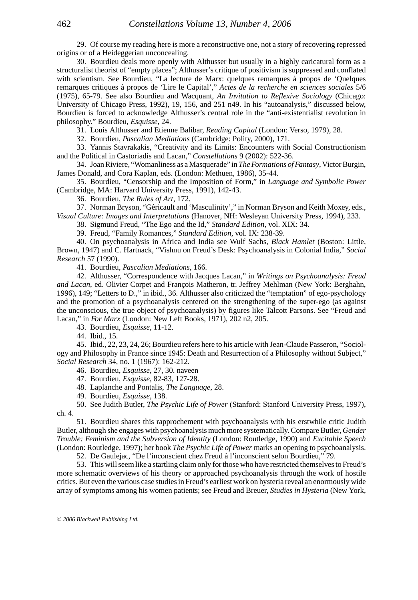29. Of course my reading here is more a reconstructive one, not a story of recovering repressed origins or of a Heideggerian unconcealing.

30. Bourdieu deals more openly with Althusser but usually in a highly caricatural form as a structuralist theorist of "empty places"; Althusser's critique of positivism is suppressed and conflated with scientism. See Bourdieu, "La lecture de Marx: quelques remarques à propos de 'Quelques remarques critiques `a propos de 'Lire le Capital'," *Actes de la recherche en sciences sociales* 5/6 (1975), 65-79. See also Bourdieu and Wacquant, *An Invitation to Reflexive Sociology* (Chicago: University of Chicago Press, 1992), 19, 156, and 251 n49. In his "autoanalysis," discussed below, Bourdieu is forced to acknowledge Althusser's central role in the "anti-existentialist revolution in philosophy." Bourdieu, *Esquisse*, 24.

31. Louis Althusser and Etienne Balibar, *Reading Capital* (London: Verso, 1979), 28.

32. Bourdieu, *Pascalian Mediations* (Cambridge: Polity, 2000), 171.

33. Yannis Stavrakakis, "Creativity and its Limits: Encounters with Social Constructionism and the Political in Castoriadis and Lacan," *Constellations* 9 (2002): 522-36.

34. Joan Riviere, "Womanliness as a Masquerade" in *The Formations of Fantasy*, Victor Burgin, James Donald, and Cora Kaplan, eds. (London: Methuen, 1986), 35-44.

35. Bourdieu, "Censorship and the Imposition of Form," in *Language and Symbolic Power* (Cambridge, MA: Harvard University Press, 1991), 142-43.

36. Bourdieu, *The Rules of Art*, 172.

37. Norman Bryson, "Géricault and 'Masculinity'," in Norman Bryson and Keith Moxey, eds., *Visual Culture: Images and Interpretations* (Hanover, NH: Wesleyan University Press, 1994), 233.

38. Sigmund Freud, "The Ego and the Id," *Standard Edition*, vol. XIX: 34.

39. Freud, "Family Romances," *Standard Edition*, vol. IX: 238-39.

40. On psychoanalysis in Africa and India see Wulf Sachs, *Black Hamlet* (Boston: Little, Brown, 1947) and C. Hartnack, "Vishnu on Freud's Desk: Psychoanalysis in Colonial India," *Social Research* 57 (1990).

41. Bourdieu, *Pascalian Mediations*, 166.

42. Althusser, "Correspondence with Jacques Lacan," in *Writings on Psychoanalysis: Freud and Lacan*, ed. Olivier Corpet and François Matheron, tr. Jeffrey Mehlman (New York: Berghahn, 1996), 149; "Letters to D.," in ibid., 36. Althusser also criticized the "temptation" of ego-psychology and the promotion of a psychoanalysis centered on the strengthening of the super-ego (as against the unconscious, the true object of psychoanalysis) by figures like Talcott Parsons. See "Freud and Lacan," in *For Marx* (London: New Left Books, 1971), 202 n2, 205.

43. Bourdieu, *Esquisse*, 11-12.

44. Ibid., 15.

45. Ibid., 22, 23, 24, 26; Bourdieu refers here to his article with Jean-Claude Passeron, "Sociology and Philosophy in France since 1945: Death and Resurrection of a Philosophy without Subject," *Social Research* 34, no. 1 (1967): 162-212.

46. Bourdieu, *Esquisse*, 27, 30. naveen

47. Bourdieu, *Esquisse*, 82-83, 127-28.

- 48. Laplanche and Pontalis, *The Language*, 28.
- 49. Bourdieu, *Esquisse*, 138.

50. See Judith Butler, *The Psychic Life of Power* (Stanford: Stanford University Press, 1997), ch. 4.

51. Bourdieu shares this rapprochement with psychoanalysis with his erstwhile critic Judith Butler, although she engages with psychoanalysis much more systematically. Compare Butler, *Gender Trouble: Feminism and the Subversion of Identity* (London: Routledge, 1990) and *Excitable Speech* (London: Routledge, 1997); her book *The Psychic Life of Power* marks an opening to psychoanalysis. 52. De Gaulejac, "De l'inconscient chez Freud à l'inconscient selon Bourdieu," 79.

53. This will seem like a startling claim only for those who have restricted themselves to Freud's more schematic overviews of his theory or approached psychoanalysis through the work of hostile critics. But even the various case studies in Freud's earliest work on hysteria reveal an enormously wide array of symptoms among his women patients; see Freud and Breuer, *Studies in Hysteria* (New York,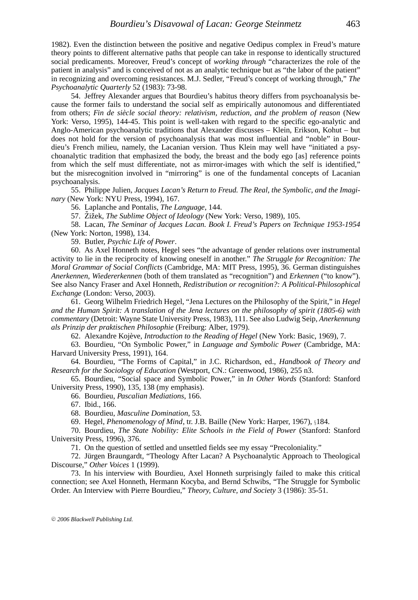1982). Even the distinction between the positive and negative Oedipus complex in Freud's mature theory points to different alternative paths that people can take in response to identically structured social predicaments. Moreover, Freud's concept of *working through* "characterizes the role of the patient in analysis" and is conceived of not as an analytic technique but as "the labor of the patient" in recognizing and overcoming resistances. M.J. Sedler, "Freud's concept of working through," *The Psychoanalytic Quarterly* 52 (1983): 73-98.

54. Jeffrey Alexander argues that Bourdieu's habitus theory differs from psychoanalysis because the former fails to understand the social self as empirically autonomous and differentiated from others; *Fin de siecle social theory: relativism, reduction, and the problem of reason `* (New York: Verso, 1995), 144-45. This point is well-taken with regard to the specific ego-analytic and Anglo-American psychoanalytic traditions that Alexander discusses – Klein, Erikson, Kohut – but does not hold for the version of psychoanalysis that was most influential and "noble" in Bourdieu's French milieu, namely, the Lacanian version. Thus Klein may well have "initiated a psychoanalytic tradition that emphasized the body, the breast and the body ego [as] reference points from which the self must differentiate, not as mirror-images with which the self is identified," but the misrecognition involved in "mirroring" is one of the fundamental concepts of Lacanian psychoanalysis.

55. Philippe Julien, *Jacques Lacan's Return to Freud. The Real, the Symbolic, and the Imaginary* (New York: NYU Press, 1994), 167.

56. Laplanche and Pontalis, *The Language*, 144.

57. Žižek, *The Sublime Object of Ideology* (New York: Verso, 1989), 105.

58. Lacan, *The Seminar of Jacques Lacan. Book I. Freud's Papers on Technique 1953-1954* (New York: Norton, 1998), 134.

59. Butler, *Psychic Life of Power*.

60. As Axel Honneth notes, Hegel sees "the advantage of gender relations over instrumental activity to lie in the reciprocity of knowing oneself in another." *The Struggle for Recognition: The Moral Grammar of Social Conflicts* (Cambridge, MA: MIT Press, 1995), 36. German distinguishes *Anerkennen*, *Wiedererkennen* (both of them translated as "recognition") and *Erkennen* ("to know"). See also Nancy Fraser and Axel Honneth, *Redistribution or recognition?: A Political-Philosophical Exchange* (London: Verso, 2003).

61. Georg Wilhelm Friedrich Hegel, "Jena Lectures on the Philosophy of the Spirit," in *Hegel and the Human Spirit: A translation of the Jena lectures on the philosophy of spirit (1805-6) with commentary* (Detroit: Wayne State University Press, 1983), 111. See also Ludwig Seip, *Anerkennung als Prinzip der praktischen Philosophie* (Freiburg: Alber, 1979).

62. Alexandre Koj`eve, *Introduction to the Reading of Hegel* (New York: Basic, 1969), 7.

63. Bourdieu, "On Symbolic Power," in *Language and Symbolic Power* (Cambridge, MA: Harvard University Press, 1991), 164.

64. Bourdieu, "The Forms of Capital," in J.C. Richardson, ed., *Handbook of Theory and Research for the Sociology of Education* (Westport, CN.: Greenwood, 1986), 255 n3.

65. Bourdieu, "Social space and Symbolic Power," in *In Other Words* (Stanford: Stanford University Press, 1990), 135, 138 (my emphasis).

66. Bourdieu, *Pascalian Mediations*, 166.

67. Ibid., 166.

68. Bourdieu, *Masculine Domination*, 53.

69. Hegel, *Phenomenology of Mind*, tr. J.B. Baille (New York: Harper, 1967), §184.

70. Bourdieu, *The State Nobility: Elite Schools in the Field of Power* (Stanford: Stanford University Press, 1996), 376.

71. On the question of settled and unsettled fields see my essay "Precoloniality."

72. Jürgen Braungardt, "Theology After Lacan? A Psychoanalytic Approach to Theological Discourse," *Other Voices* 1 (1999).

73. In his interview with Bourdieu, Axel Honneth surprisingly failed to make this critical connection; see Axel Honneth, Hermann Kocyba, and Bernd Schwibs, "The Struggle for Symbolic Order. An Interview with Pierre Bourdieu," *Theory, Culture, and Society* 3 (1986): 35-51.